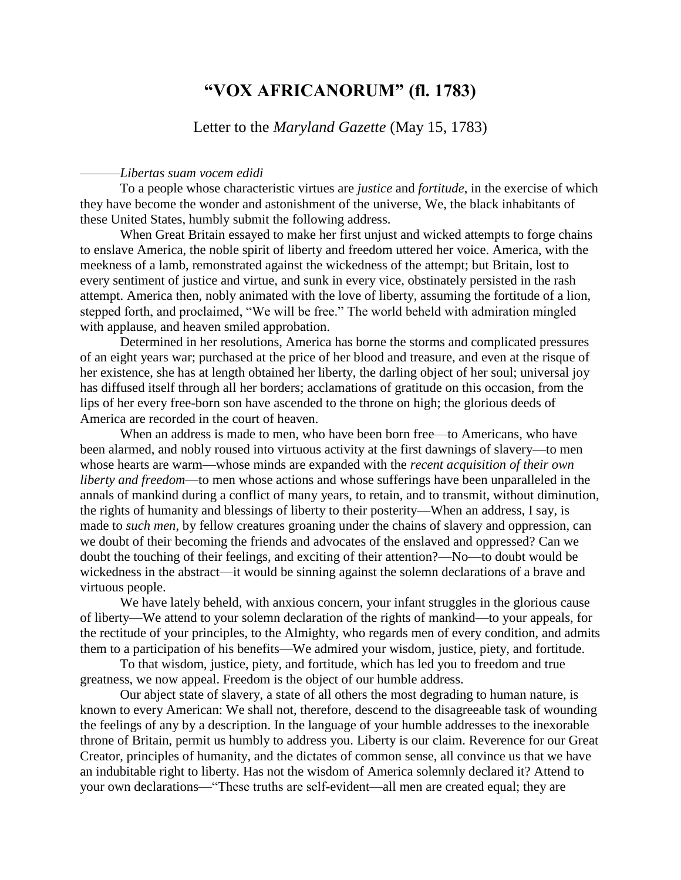## **"VOX AFRICANORUM" (fl. 1783)**

Letter to the *Maryland Gazette* (May 15, 1783)

## ———*Libertas suam vocem edidi*

To a people whose characteristic virtues are *justice* and *fortitude*, in the exercise of which they have become the wonder and astonishment of the universe, We, the black inhabitants of these United States, humbly submit the following address.

When Great Britain essayed to make her first unjust and wicked attempts to forge chains to enslave America, the noble spirit of liberty and freedom uttered her voice. America, with the meekness of a lamb, remonstrated against the wickedness of the attempt; but Britain, lost to every sentiment of justice and virtue, and sunk in every vice, obstinately persisted in the rash attempt. America then, nobly animated with the love of liberty, assuming the fortitude of a lion, stepped forth, and proclaimed, "We will be free." The world beheld with admiration mingled with applause, and heaven smiled approbation.

Determined in her resolutions, America has borne the storms and complicated pressures of an eight years war; purchased at the price of her blood and treasure, and even at the risque of her existence, she has at length obtained her liberty, the darling object of her soul; universal joy has diffused itself through all her borders; acclamations of gratitude on this occasion, from the lips of her every free-born son have ascended to the throne on high; the glorious deeds of America are recorded in the court of heaven.

When an address is made to men, who have been born free—to Americans, who have been alarmed, and nobly roused into virtuous activity at the first dawnings of slavery—to men whose hearts are warm—whose minds are expanded with the *recent acquisition of their own liberty and freedom*—to men whose actions and whose sufferings have been unparalleled in the annals of mankind during a conflict of many years, to retain, and to transmit, without diminution, the rights of humanity and blessings of liberty to their posterity—When an address, I say, is made to *such men*, by fellow creatures groaning under the chains of slavery and oppression, can we doubt of their becoming the friends and advocates of the enslaved and oppressed? Can we doubt the touching of their feelings, and exciting of their attention?—No—to doubt would be wickedness in the abstract—it would be sinning against the solemn declarations of a brave and virtuous people.

We have lately beheld, with anxious concern, your infant struggles in the glorious cause of liberty—We attend to your solemn declaration of the rights of mankind—to your appeals, for the rectitude of your principles, to the Almighty, who regards men of every condition, and admits them to a participation of his benefits—We admired your wisdom, justice, piety, and fortitude.

To that wisdom, justice, piety, and fortitude, which has led you to freedom and true greatness, we now appeal. Freedom is the object of our humble address.

Our abject state of slavery, a state of all others the most degrading to human nature, is known to every American: We shall not, therefore, descend to the disagreeable task of wounding the feelings of any by a description. In the language of your humble addresses to the inexorable throne of Britain, permit us humbly to address you. Liberty is our claim. Reverence for our Great Creator, principles of humanity, and the dictates of common sense, all convince us that we have an indubitable right to liberty. Has not the wisdom of America solemnly declared it? Attend to your own declarations—"These truths are self-evident—all men are created equal; they are